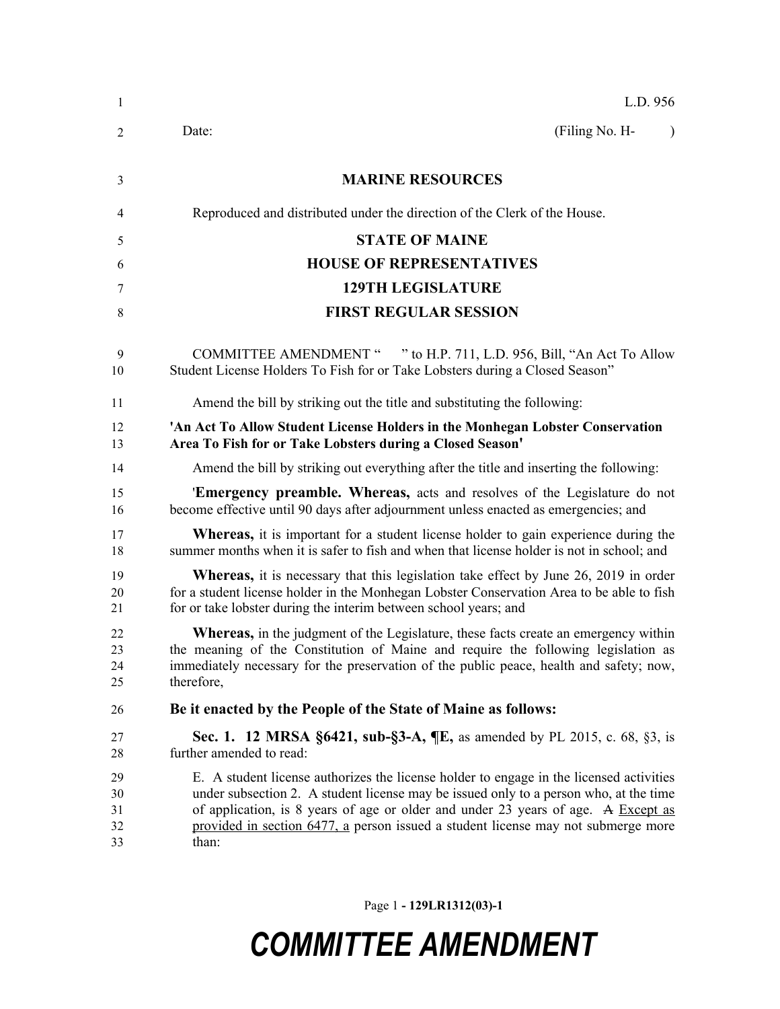| 1                          | L.D. 956                                                                                                                                                                                                                                                                                                                                                            |
|----------------------------|---------------------------------------------------------------------------------------------------------------------------------------------------------------------------------------------------------------------------------------------------------------------------------------------------------------------------------------------------------------------|
| 2                          | (Filing No. H-<br>Date:                                                                                                                                                                                                                                                                                                                                             |
| 3                          | <b>MARINE RESOURCES</b>                                                                                                                                                                                                                                                                                                                                             |
| 4                          | Reproduced and distributed under the direction of the Clerk of the House.                                                                                                                                                                                                                                                                                           |
| 5                          | <b>STATE OF MAINE</b>                                                                                                                                                                                                                                                                                                                                               |
| 6                          | <b>HOUSE OF REPRESENTATIVES</b>                                                                                                                                                                                                                                                                                                                                     |
| 7                          | <b>129TH LEGISLATURE</b>                                                                                                                                                                                                                                                                                                                                            |
| 8                          | <b>FIRST REGULAR SESSION</b>                                                                                                                                                                                                                                                                                                                                        |
| 9<br>10                    | COMMITTEE AMENDMENT " " to H.P. 711, L.D. 956, Bill, "An Act To Allow<br>Student License Holders To Fish for or Take Lobsters during a Closed Season"                                                                                                                                                                                                               |
| 11                         | Amend the bill by striking out the title and substituting the following:                                                                                                                                                                                                                                                                                            |
| 12<br>13                   | 'An Act To Allow Student License Holders in the Monhegan Lobster Conservation<br>Area To Fish for or Take Lobsters during a Closed Season'                                                                                                                                                                                                                          |
| 14                         | Amend the bill by striking out everything after the title and inserting the following:                                                                                                                                                                                                                                                                              |
| 15<br>16                   | 'Emergency preamble. Whereas, acts and resolves of the Legislature do not<br>become effective until 90 days after adjournment unless enacted as emergencies; and                                                                                                                                                                                                    |
| 17<br>18                   | <b>Whereas,</b> it is important for a student license holder to gain experience during the<br>summer months when it is safer to fish and when that license holder is not in school; and                                                                                                                                                                             |
| 19<br>20<br>21             | <b>Whereas,</b> it is necessary that this legislation take effect by June 26, 2019 in order<br>for a student license holder in the Monhegan Lobster Conservation Area to be able to fish<br>for or take lobster during the interim between school years; and                                                                                                        |
| 22<br>23<br>24<br>25       | <b>Whereas,</b> in the judgment of the Legislature, these facts create an emergency within<br>the meaning of the Constitution of Maine and require the following legislation as<br>immediately necessary for the preservation of the public peace, health and safety; now,<br>therefore,                                                                            |
| 26                         | Be it enacted by the People of the State of Maine as follows:                                                                                                                                                                                                                                                                                                       |
| 27<br>28                   | <b>Sec. 1. 12 MRSA §6421, sub-§3-A, ¶E, as amended by PL 2015, c. 68, §3, is</b><br>further amended to read:                                                                                                                                                                                                                                                        |
| 29<br>30<br>31<br>32<br>33 | E. A student license authorizes the license holder to engage in the licensed activities<br>under subsection 2. A student license may be issued only to a person who, at the time<br>of application, is 8 years of age or older and under 23 years of age. A Except as<br>provided in section 6477, a person issued a student license may not submerge more<br>than: |

Page 1 **- 129LR1312(03)-1**

## *COMMITTEE AMENDMENT*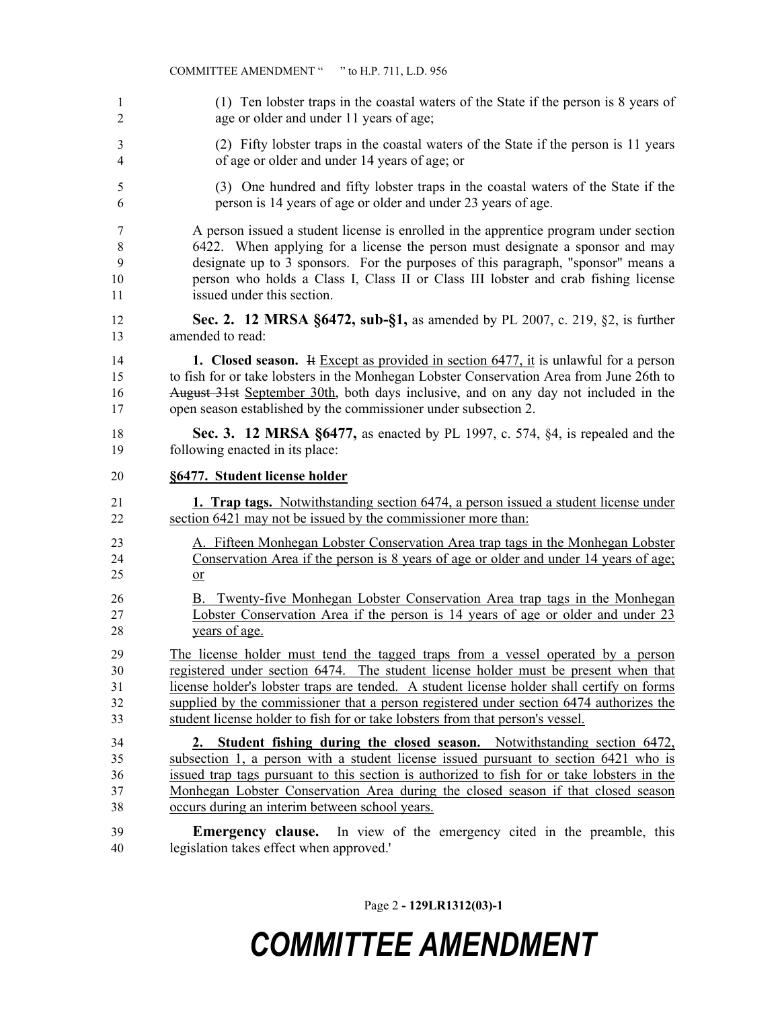|                | COMMITTEE AMENDMENT "<br>" to H.P. 711, L.D. 956                                            |
|----------------|---------------------------------------------------------------------------------------------|
| $\mathbf{1}$   | (1) Ten lobster traps in the coastal waters of the State if the person is 8 years of        |
| $\overline{2}$ | age or older and under 11 years of age;                                                     |
| 3              | (2) Fifty lobster traps in the coastal waters of the State if the person is 11 years        |
| 4              | of age or older and under 14 years of age; or                                               |
| 5              | (3) One hundred and fifty lobster traps in the coastal waters of the State if the           |
| 6              | person is 14 years of age or older and under 23 years of age.                               |
| 7              | A person issued a student license is enrolled in the apprentice program under section       |
| $\,8\,$        | 6422. When applying for a license the person must designate a sponsor and may               |
| 9              | designate up to 3 sponsors. For the purposes of this paragraph, "sponsor" means a           |
| 10             | person who holds a Class I, Class II or Class III lobster and crab fishing license          |
| 11             | issued under this section.                                                                  |
| 12             | Sec. 2. 12 MRSA §6472, sub-§1, as amended by PL 2007, c. 219, §2, is further                |
| 13             | amended to read:                                                                            |
| 14             | 1. Closed season. If Except as provided in section $6477$ , it is unlawful for a person     |
| 15             | to fish for or take lobsters in the Monhegan Lobster Conservation Area from June 26th to    |
| 16             | August 31st September 30th, both days inclusive, and on any day not included in the         |
| 17             | open season established by the commissioner under subsection 2.                             |
| 18             | <b>Sec. 3. 12 MRSA §6477, as enacted by PL 1997, c. 574, §4, is repealed and the</b>        |
| 19             | following enacted in its place:                                                             |
| 20             | §6477. Student license holder                                                               |
| 21             | <b>1. Trap tags.</b> Notwithstanding section 6474, a person issued a student license under  |
| 22             | section 6421 may not be issued by the commissioner more than:                               |
| 23             | A. Fifteen Monhegan Lobster Conservation Area trap tags in the Monhegan Lobster             |
| 24             | Conservation Area if the person is 8 years of age or older and under 14 years of age.       |
| 25             | $or$                                                                                        |
| 26             | B. Twenty-five Monhegan Lobster Conservation Area trap tags in the Monhegan                 |
| 27             | Lobster Conservation Area if the person is 14 years of age or older and under 23            |
| 28             | years of age.                                                                               |
| 29             | The license holder must tend the tagged traps from a vessel operated by a person            |
| 30             | registered under section 6474. The student license holder must be present when that         |
| 31             | license holder's lobster traps are tended. A student license holder shall certify on forms  |
| 32             | supplied by the commissioner that a person registered under section 6474 authorizes the     |
| 33             | student license holder to fish for or take lobsters from that person's vessel.              |
| 34             | 2. Student fishing during the closed season. Notwithstanding section 6472,                  |
| 35             | subsection 1, a person with a student license issued pursuant to section 6421 who is        |
| 36             | issued trap tags pursuant to this section is authorized to fish for or take lobsters in the |
| 37             | Monhegan Lobster Conservation Area during the closed season if that closed season           |
| 38             | occurs during an interim between school years.                                              |

Page 2 **- 129LR1312(03)-1**

## *COMMITTEE AMENDMENT*